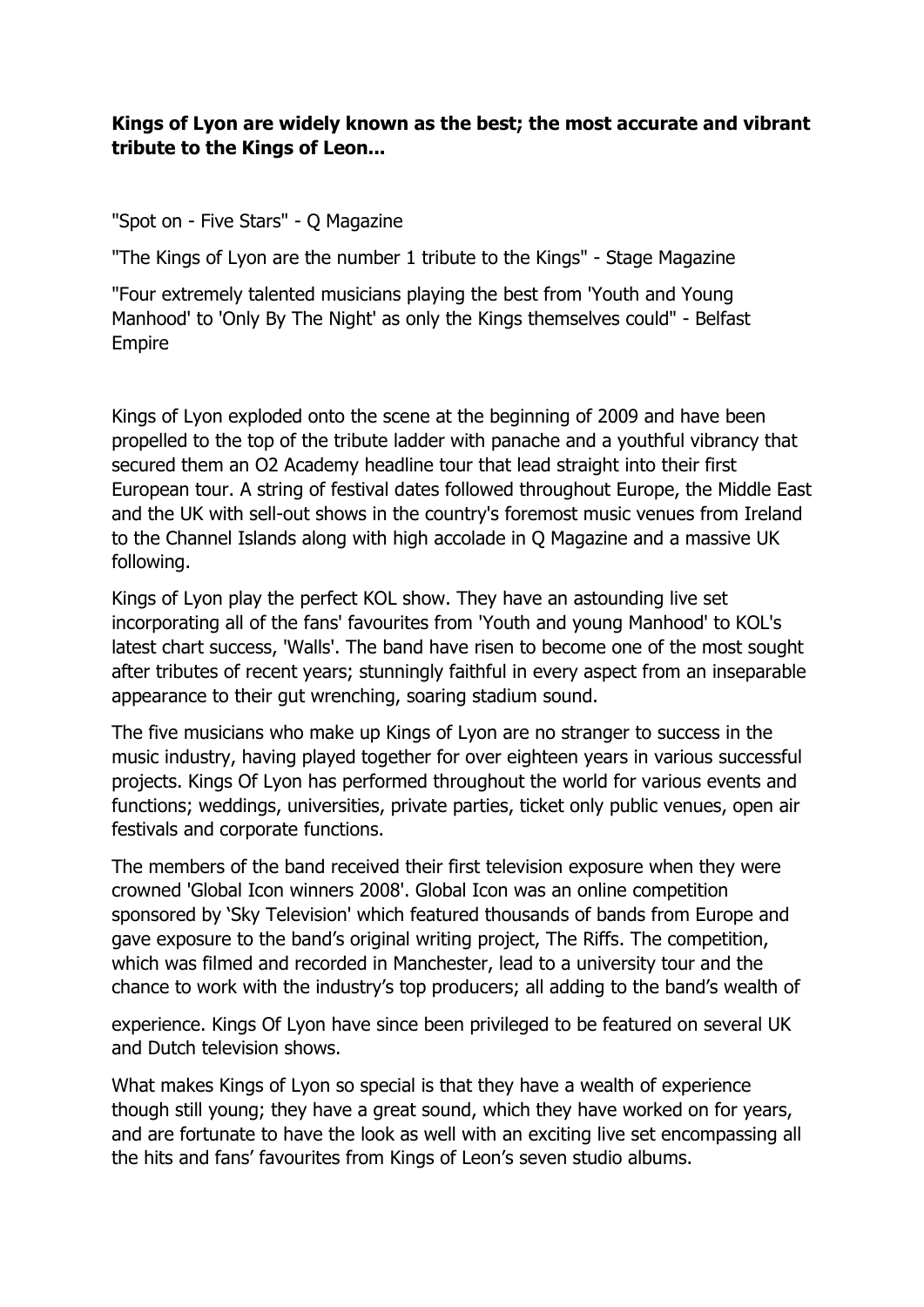## **Kings of Lyon are widely known as the best; the most accurate and vibrant tribute to the Kings of Leon...**

"Spot on - Five Stars" - Q Magazine

"The Kings of Lyon are the number 1 tribute to the Kings" - Stage Magazine

"Four extremely talented musicians playing the best from 'Youth and Young Manhood' to 'Only By The Night' as only the Kings themselves could" - Belfast Empire

Kings of Lyon exploded onto the scene at the beginning of 2009 and have been propelled to the top of the tribute ladder with panache and a youthful vibrancy that secured them an O2 Academy headline tour that lead straight into their first European tour. A string of festival dates followed throughout Europe, the Middle East and the UK with sell-out shows in the country's foremost music venues from Ireland to the Channel Islands along with high accolade in Q Magazine and a massive UK following.

Kings of Lyon play the perfect KOL show. They have an astounding live set incorporating all of the fans' favourites from 'Youth and young Manhood' to KOL's latest chart success, 'Walls'. The band have risen to become one of the most sought after tributes of recent years; stunningly faithful in every aspect from an inseparable appearance to their gut wrenching, soaring stadium sound.

The five musicians who make up Kings of Lyon are no stranger to success in the music industry, having played together for over eighteen years in various successful projects. Kings Of Lyon has performed throughout the world for various events and functions; weddings, universities, private parties, ticket only public venues, open air festivals and corporate functions.

The members of the band received their first television exposure when they were crowned 'Global Icon winners 2008'. Global Icon was an online competition sponsored by 'Sky Television' which featured thousands of bands from Europe and gave exposure to the band's original writing project, The Riffs. The competition, which was filmed and recorded in Manchester, lead to a university tour and the chance to work with the industry's top producers; all adding to the band's wealth of

experience. Kings Of Lyon have since been privileged to be featured on several UK and Dutch television shows.

What makes Kings of Lyon so special is that they have a wealth of experience though still young; they have a great sound, which they have worked on for years, and are fortunate to have the look as well with an exciting live set encompassing all the hits and fans' favourites from Kings of Leon's seven studio albums.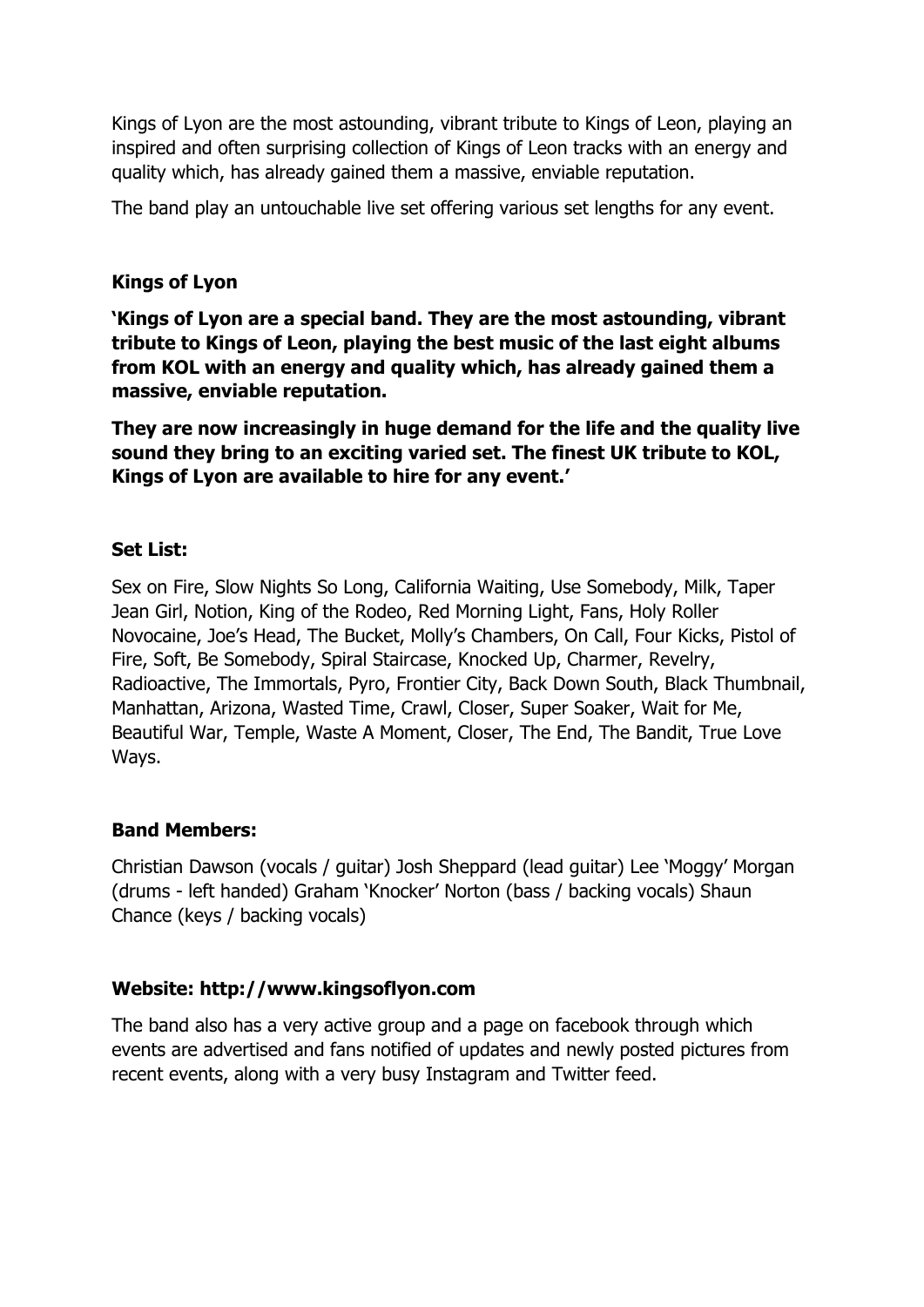Kings of Lyon are the most astounding, vibrant tribute to Kings of Leon, playing an inspired and often surprising collection of Kings of Leon tracks with an energy and quality which, has already gained them a massive, enviable reputation.

The band play an untouchable live set offering various set lengths for any event.

## **Kings of Lyon**

**'Kings of Lyon are a special band. They are the most astounding, vibrant tribute to Kings of Leon, playing the best music of the last eight albums from KOL with an energy and quality which, has already gained them a massive, enviable reputation.** 

**They are now increasingly in huge demand for the life and the quality live sound they bring to an exciting varied set. The finest UK tribute to KOL, Kings of Lyon are available to hire for any event.'** 

## **Set List:**

Sex on Fire, Slow Nights So Long, California Waiting, Use Somebody, Milk, Taper Jean Girl, Notion, King of the Rodeo, Red Morning Light, Fans, Holy Roller Novocaine, Joe's Head, The Bucket, Molly's Chambers, On Call, Four Kicks, Pistol of Fire, Soft, Be Somebody, Spiral Staircase, Knocked Up, Charmer, Revelry, Radioactive, The Immortals, Pyro, Frontier City, Back Down South, Black Thumbnail, Manhattan, Arizona, Wasted Time, Crawl, Closer, Super Soaker, Wait for Me, Beautiful War, Temple, Waste A Moment, Closer, The End, The Bandit, True Love Ways.

# **Band Members:**

Christian Dawson (vocals / guitar) Josh Sheppard (lead guitar) Lee 'Moggy' Morgan (drums - left handed) Graham 'Knocker' Norton (bass / backing vocals) Shaun Chance (keys / backing vocals)

#### **Website: http://www.kingsoflyon.com**

The band also has a very active group and a page on facebook through which events are advertised and fans notified of updates and newly posted pictures from recent events, along with a very busy Instagram and Twitter feed.